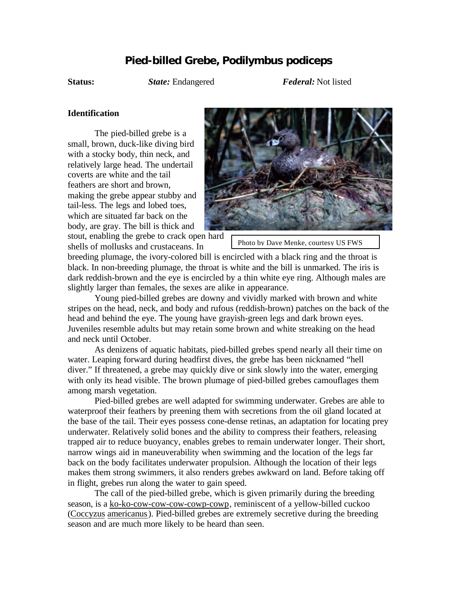## **Pied-billed Grebe,** *Podilymbus podiceps*

**Status:** *State:* Endangered *Federal:* Not listed

## **Identification**

The pied-billed grebe is a small, brown, duck-like diving bird with a stocky body, thin neck, and relatively large head. The undertail coverts are white and the tail feathers are short and brown, making the grebe appear stubby and tail-less. The legs and lobed toes, which are situated far back on the body, are gray. The bill is thick and



breeding plumage, the ivory-colored bill is encircled with a black ring and the throat is black. In non-breeding plumage, the throat is white and the bill is unmarked. The iris is dark reddish-brown and the eye is encircled by a thin white eye ring. Although males are slightly larger than females, the sexes are alike in appearance.

Young pied-billed grebes are downy and vividly marked with brown and white stripes on the head, neck, and body and rufous (reddish-brown) patches on the back of the head and behind the eye. The young have grayish-green legs and dark brown eyes. Juveniles resemble adults but may retain some brown and white streaking on the head and neck until October.

As denizens of aquatic habitats, pied-billed grebes spend nearly all their time on water. Leaping forward during headfirst dives, the grebe has been nicknamed "hell diver." If threatened, a grebe may quickly dive or sink slowly into the water, emerging with only its head visible. The brown plumage of pied-billed grebes camouflages them among marsh vegetation.

Pied-billed grebes are well adapted for swimming underwater. Grebes are able to waterproof their feathers by preening them with secretions from the oil gland located at the base of the tail. Their eyes possess cone-dense retinas, an adaptation for locating prey underwater. Relatively solid bones and the ability to compress their feathers, releasing trapped air to reduce buoyancy, enables grebes to remain underwater longer. Their short, narrow wings aid in maneuverability when swimming and the location of the legs far back on the body facilitates underwater propulsion. Although the location of their legs makes them strong swimmers, it also renders grebes awkward on land. Before taking off in flight, grebes run along the water to gain speed.

The call of the pied-billed grebe, which is given primarily during the breeding season, is a ko-ko-cow-cow-cow-cowp-cowp, reminiscent of a yellow-billed cuckoo (Coccyzus americanus). Pied-billed grebes are extremely secretive during the breeding season and are much more likely to be heard than seen.

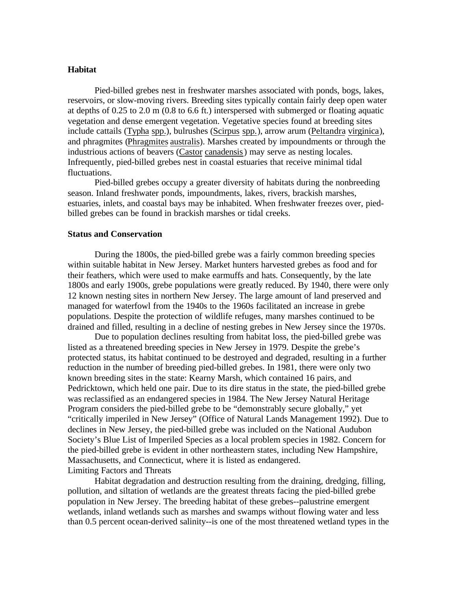## **Habitat**

Pied-billed grebes nest in freshwater marshes associated with ponds, bogs, lakes, reservoirs, or slow-moving rivers. Breeding sites typically contain fairly deep open water at depths of 0.25 to 2.0 m (0.8 to 6.6 ft.) interspersed with submerged or floating aquatic vegetation and dense emergent vegetation. Vegetative species found at breeding sites include cattails (Typha spp.), bulrushes (Scirpus spp.), arrow arum (Peltandra virginica), and phragmites (Phragmites australis). Marshes created by impoundments or through the industrious actions of beavers (Castor canadensis) may serve as nesting locales. Infrequently, pied-billed grebes nest in coastal estuaries that receive minimal tidal fluctuations.

Pied-billed grebes occupy a greater diversity of habitats during the nonbreeding season. Inland freshwater ponds, impoundments, lakes, rivers, brackish marshes, estuaries, inlets, and coastal bays may be inhabited. When freshwater freezes over, piedbilled grebes can be found in brackish marshes or tidal creeks.

## **Status and Conservation**

During the 1800s, the pied-billed grebe was a fairly common breeding species within suitable habitat in New Jersey. Market hunters harvested grebes as food and for their feathers, which were used to make earmuffs and hats. Consequently, by the late 1800s and early 1900s, grebe populations were greatly reduced. By 1940, there were only 12 known nesting sites in northern New Jersey. The large amount of land preserved and managed for waterfowl from the 1940s to the 1960s facilitated an increase in grebe populations. Despite the protection of wildlife refuges, many marshes continued to be drained and filled, resulting in a decline of nesting grebes in New Jersey since the 1970s.

Due to population declines resulting from habitat loss, the pied-billed grebe was listed as a threatened breeding species in New Jersey in 1979. Despite the grebe's protected status, its habitat continued to be destroyed and degraded, resulting in a further reduction in the number of breeding pied-billed grebes. In 1981, there were only two known breeding sites in the state: Kearny Marsh, which contained 16 pairs, and Pedricktown, which held one pair. Due to its dire status in the state, the pied-billed grebe was reclassified as an endangered species in 1984. The New Jersey Natural Heritage Program considers the pied-billed grebe to be "demonstrably secure globally," yet "critically imperiled in New Jersey" (Office of Natural Lands Management 1992). Due to declines in New Jersey, the pied-billed grebe was included on the National Audubon Society's Blue List of Imperiled Species as a local problem species in 1982. Concern for the pied-billed grebe is evident in other northeastern states, including New Hampshire, Massachusetts, and Connecticut, where it is listed as endangered. Limiting Factors and Threats

Habitat degradation and destruction resulting from the draining, dredging, filling, pollution, and siltation of wetlands are the greatest threats facing the pied-billed grebe population in New Jersey. The breeding habitat of these grebes--palustrine emergent wetlands, inland wetlands such as marshes and swamps without flowing water and less than 0.5 percent ocean-derived salinity--is one of the most threatened wetland types in the